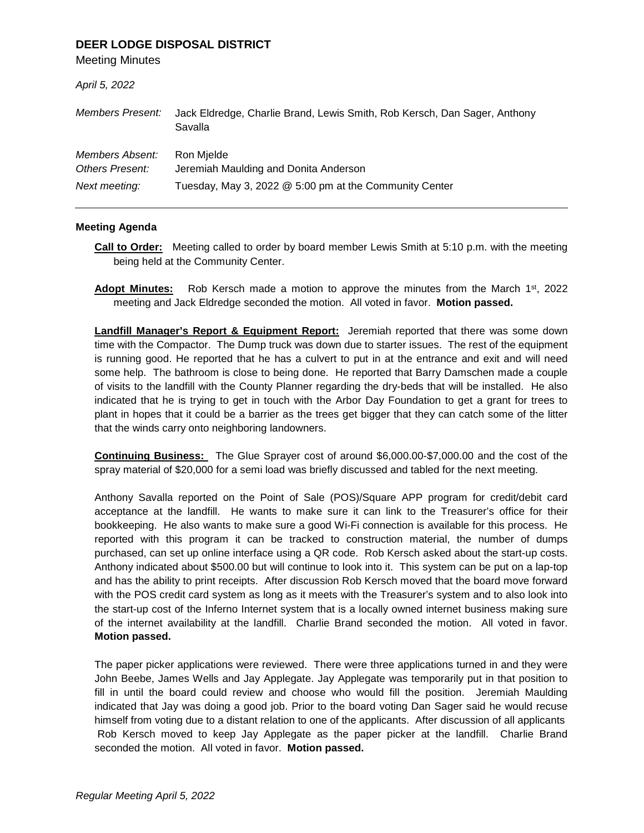## **DEER LODGE DISPOSAL DISTRICT**

Meeting Minutes

| April 5, 2022                                       |                                                                                                               |
|-----------------------------------------------------|---------------------------------------------------------------------------------------------------------------|
| Members Present:                                    | Jack Eldredge, Charlie Brand, Lewis Smith, Rob Kersch, Dan Sager, Anthony<br>Savalla                          |
| Members Absent:<br>Others Present:<br>Next meeting: | Ron Mielde<br>Jeremiah Maulding and Donita Anderson<br>Tuesday, May 3, 2022 @ 5:00 pm at the Community Center |

## **Meeting Agenda**

- **Call to Order:** Meeting called to order by board member Lewis Smith at 5:10 p.m. with the meeting being held at the Community Center.
- **Adopt Minutes:** Rob Kersch made a motion to approve the minutes from the March 1st, 2022 meeting and Jack Eldredge seconded the motion. All voted in favor. **Motion passed.**

**Landfill Manager's Report & Equipment Report:** Jeremiah reported that there was some down time with the Compactor. The Dump truck was down due to starter issues. The rest of the equipment is running good. He reported that he has a culvert to put in at the entrance and exit and will need some help. The bathroom is close to being done. He reported that Barry Damschen made a couple of visits to the landfill with the County Planner regarding the dry-beds that will be installed. He also indicated that he is trying to get in touch with the Arbor Day Foundation to get a grant for trees to plant in hopes that it could be a barrier as the trees get bigger that they can catch some of the litter that the winds carry onto neighboring landowners.

**Continuing Business:** The Glue Sprayer cost of around \$6,000.00-\$7,000.00 and the cost of the spray material of \$20,000 for a semi load was briefly discussed and tabled for the next meeting.

Anthony Savalla reported on the Point of Sale (POS)/Square APP program for credit/debit card acceptance at the landfill. He wants to make sure it can link to the Treasurer's office for their bookkeeping. He also wants to make sure a good Wi-Fi connection is available for this process. He reported with this program it can be tracked to construction material, the number of dumps purchased, can set up online interface using a QR code. Rob Kersch asked about the start-up costs. Anthony indicated about \$500.00 but will continue to look into it. This system can be put on a lap-top and has the ability to print receipts. After discussion Rob Kersch moved that the board move forward with the POS credit card system as long as it meets with the Treasurer's system and to also look into the start-up cost of the Inferno Internet system that is a locally owned internet business making sure of the internet availability at the landfill. Charlie Brand seconded the motion. All voted in favor. **Motion passed.**

The paper picker applications were reviewed. There were three applications turned in and they were John Beebe, James Wells and Jay Applegate. Jay Applegate was temporarily put in that position to fill in until the board could review and choose who would fill the position. Jeremiah Maulding indicated that Jay was doing a good job. Prior to the board voting Dan Sager said he would recuse himself from voting due to a distant relation to one of the applicants. After discussion of all applicants Rob Kersch moved to keep Jay Applegate as the paper picker at the landfill. Charlie Brand seconded the motion. All voted in favor. **Motion passed.**